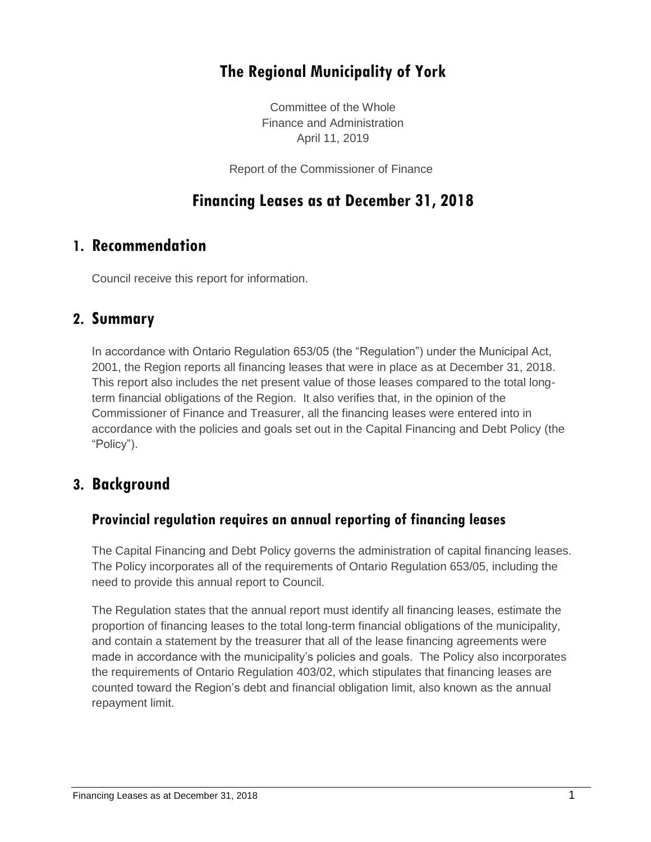# **The Regional Municipality of York**

Committee of the Whole Finance and Administration April 11, 2019

Report of the Commissioner of Finance

### **Financing Leases as at December 31, 2018**

### **1. Recommendation**

Council receive this report for information.

#### **2. Summary**

In accordance with Ontario Regulation 653/05 (the "Regulation") under the Municipal Act, 2001, the Region reports all financing leases that were in place as at December 31, 2018. This report also includes the net present value of those leases compared to the total longterm financial obligations of the Region. It also verifies that, in the opinion of the Commissioner of Finance and Treasurer, all the financing leases were entered into in accordance with the policies and goals set out in the Capital Financing and Debt Policy (the "Policy").

### **3. Background**

#### **Provincial regulation requires an annual reporting of financing leases**

The Capital Financing and Debt Policy governs the administration of capital financing leases. The Policy incorporates all of the requirements of Ontario Regulation 653/05, including the need to provide this annual report to Council.

The Regulation states that the annual report must identify all financing leases, estimate the proportion of financing leases to the total long-term financial obligations of the municipality, and contain a statement by the treasurer that all of the lease financing agreements were made in accordance with the municipality's policies and goals. The Policy also incorporates the requirements of Ontario Regulation 403/02, which stipulates that financing leases are counted toward the Region's debt and financial obligation limit, also known as the annual repayment limit.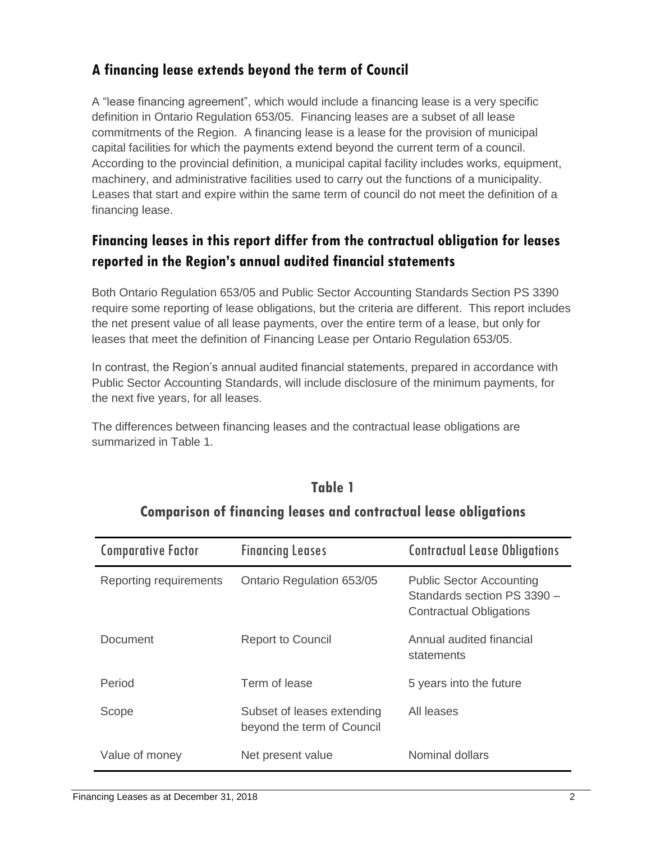#### **A financing lease extends beyond the term of Council**

A "lease financing agreement", which would include a financing lease is a very specific definition in Ontario Regulation 653/05. Financing leases are a subset of all lease commitments of the Region. A financing lease is a lease for the provision of municipal capital facilities for which the payments extend beyond the current term of a council. According to the provincial definition, a municipal capital facility includes works, equipment, machinery, and administrative facilities used to carry out the functions of a municipality. Leases that start and expire within the same term of council do not meet the definition of a financing lease.

## **Financing leases in this report differ from the contractual obligation for leases reported in the Region's annual audited financial statements**

Both Ontario Regulation 653/05 and Public Sector Accounting Standards Section PS 3390 require some reporting of lease obligations, but the criteria are different. This report includes the net present value of all lease payments, over the entire term of a lease, but only for leases that meet the definition of Financing Lease per Ontario Regulation 653/05.

In contrast, the Region's annual audited financial statements, prepared in accordance with Public Sector Accounting Standards, will include disclosure of the minimum payments, for the next five years, for all leases.

The differences between financing leases and the contractual lease obligations are summarized in Table 1.

| <b>Comparative Factor</b> | <b>Financing Leases</b>                                  | <b>Contractual Lease Obligations</b>                                                             |
|---------------------------|----------------------------------------------------------|--------------------------------------------------------------------------------------------------|
| Reporting requirements    | Ontario Regulation 653/05                                | <b>Public Sector Accounting</b><br>Standards section PS 3390 -<br><b>Contractual Obligations</b> |
| Document                  | <b>Report to Council</b>                                 | Annual audited financial<br>statements                                                           |
| Period                    | Term of lease                                            | 5 years into the future                                                                          |
| Scope                     | Subset of leases extending<br>beyond the term of Council | All leases                                                                                       |
| Value of money            | Net present value                                        | Nominal dollars                                                                                  |

### **Table 1**

### **Comparison of financing leases and contractual lease obligations**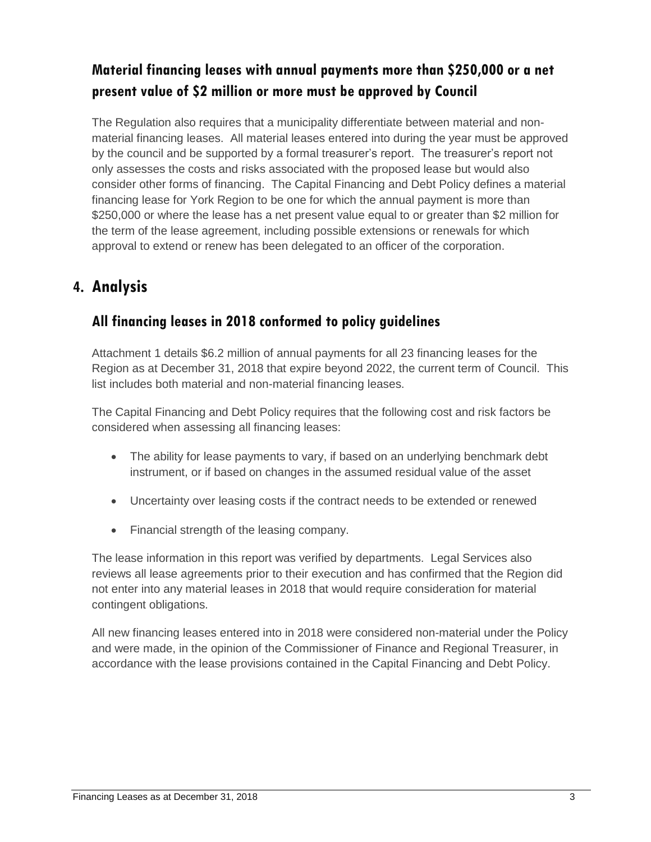# **Material financing leases with annual payments more than \$250,000 or a net present value of \$2 million or more must be approved by Council**

The Regulation also requires that a municipality differentiate between material and nonmaterial financing leases. All material leases entered into during the year must be approved by the council and be supported by a formal treasurer's report. The treasurer's report not only assesses the costs and risks associated with the proposed lease but would also consider other forms of financing. The Capital Financing and Debt Policy defines a material financing lease for York Region to be one for which the annual payment is more than \$250,000 or where the lease has a net present value equal to or greater than \$2 million for the term of the lease agreement, including possible extensions or renewals for which approval to extend or renew has been delegated to an officer of the corporation.

## **4. Analysis**

#### **All financing leases in 2018 conformed to policy guidelines**

Attachment 1 details \$6.2 million of annual payments for all 23 financing leases for the Region as at December 31, 2018 that expire beyond 2022, the current term of Council. This list includes both material and non-material financing leases.

The Capital Financing and Debt Policy requires that the following cost and risk factors be considered when assessing all financing leases:

- The ability for lease payments to vary, if based on an underlying benchmark debt instrument, or if based on changes in the assumed residual value of the asset
- Uncertainty over leasing costs if the contract needs to be extended or renewed
- Financial strength of the leasing company.

The lease information in this report was verified by departments. Legal Services also reviews all lease agreements prior to their execution and has confirmed that the Region did not enter into any material leases in 2018 that would require consideration for material contingent obligations.

All new financing leases entered into in 2018 were considered non-material under the Policy and were made, in the opinion of the Commissioner of Finance and Regional Treasurer, in accordance with the lease provisions contained in the Capital Financing and Debt Policy.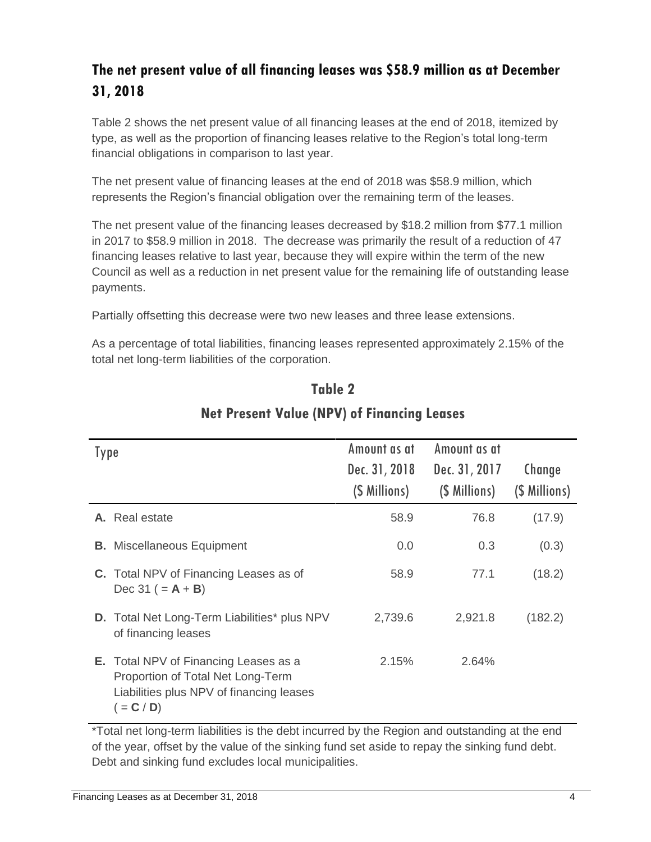# **The net present value of all financing leases was \$58.9 million as at December 31, 2018**

Table 2 shows the net present value of all financing leases at the end of 2018, itemized by type, as well as the proportion of financing leases relative to the Region's total long-term financial obligations in comparison to last year.

The net present value of financing leases at the end of 2018 was \$58.9 million, which represents the Region's financial obligation over the remaining term of the leases.

The net present value of the financing leases decreased by \$18.2 million from \$77.1 million in 2017 to \$58.9 million in 2018. The decrease was primarily the result of a reduction of 47 financing leases relative to last year, because they will expire within the term of the new Council as well as a reduction in net present value for the remaining life of outstanding lease payments.

Partially offsetting this decrease were two new leases and three lease extensions.

As a percentage of total liabilities, financing leases represented approximately 2.15% of the total net long-term liabilities of the corporation.

| Type                                                                                                                                          | Amount as at                   | Amount as at                   |                         |
|-----------------------------------------------------------------------------------------------------------------------------------------------|--------------------------------|--------------------------------|-------------------------|
|                                                                                                                                               | Dec. 31, 2018<br>(\$ Millions) | Dec. 31, 2017<br>(\$ Millions) | Change<br>(\$ Millions) |
| <b>A.</b> Real estate                                                                                                                         | 58.9                           | 76.8                           | (17.9)                  |
| <b>B.</b> Miscellaneous Equipment                                                                                                             | 0.0                            | 0.3                            | (0.3)                   |
| <b>C.</b> Total NPV of Financing Leases as of<br>$Dec 31 (= A + B)$                                                                           | 58.9                           | 77.1                           | (18.2)                  |
| <b>D.</b> Total Net Long-Term Liabilities* plus NPV<br>of financing leases                                                                    | 2,739.6                        | 2,921.8                        | (182.2)                 |
| <b>E.</b> Total NPV of Financing Leases as a<br>Proportion of Total Net Long-Term<br>Liabilities plus NPV of financing leases<br>$( = C / D)$ | 2.15%                          | 2.64%                          |                         |

# **Table 2 Net Present Value (NPV) of Financing Leases**

\*Total net long-term liabilities is the debt incurred by the Region and outstanding at the end of the year, offset by the value of the sinking fund set aside to repay the sinking fund debt. Debt and sinking fund excludes local municipalities.